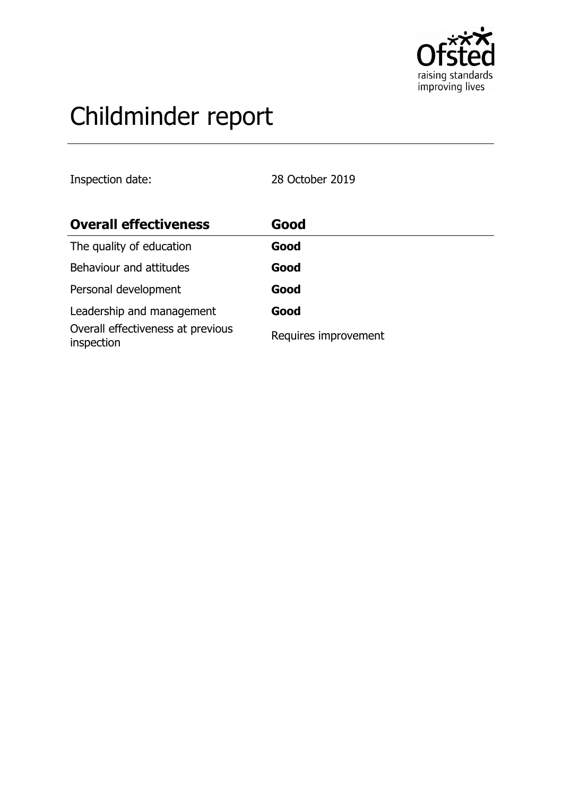

# Childminder report

Inspection date: 28 October 2019

| <b>Overall effectiveness</b>                    | Good                 |
|-------------------------------------------------|----------------------|
| The quality of education                        | Good                 |
| Behaviour and attitudes                         | Good                 |
| Personal development                            | Good                 |
| Leadership and management                       | Good                 |
| Overall effectiveness at previous<br>inspection | Requires improvement |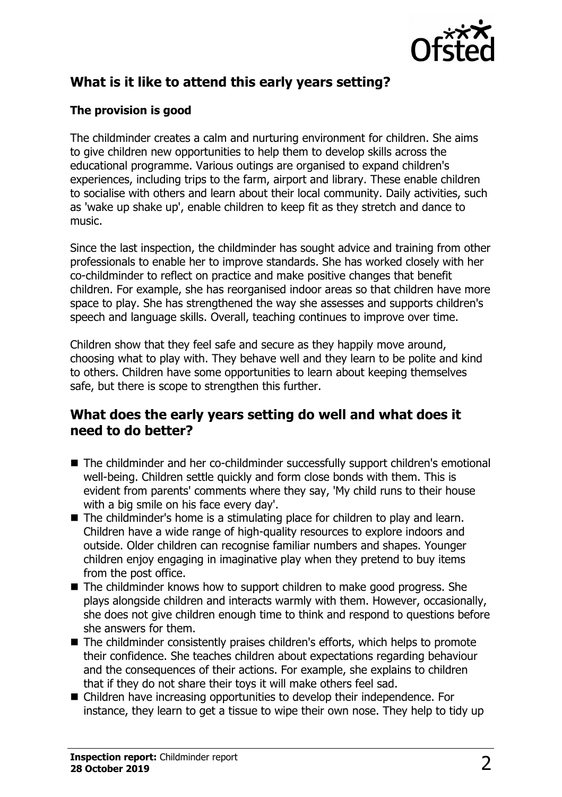

# **What is it like to attend this early years setting?**

### **The provision is good**

The childminder creates a calm and nurturing environment for children. She aims to give children new opportunities to help them to develop skills across the educational programme. Various outings are organised to expand children's experiences, including trips to the farm, airport and library. These enable children to socialise with others and learn about their local community. Daily activities, such as 'wake up shake up', enable children to keep fit as they stretch and dance to music.

Since the last inspection, the childminder has sought advice and training from other professionals to enable her to improve standards. She has worked closely with her co-childminder to reflect on practice and make positive changes that benefit children. For example, she has reorganised indoor areas so that children have more space to play. She has strengthened the way she assesses and supports children's speech and language skills. Overall, teaching continues to improve over time.

Children show that they feel safe and secure as they happily move around, choosing what to play with. They behave well and they learn to be polite and kind to others. Children have some opportunities to learn about keeping themselves safe, but there is scope to strengthen this further.

## **What does the early years setting do well and what does it need to do better?**

- The childminder and her co-childminder successfully support children's emotional well-being. Children settle quickly and form close bonds with them. This is evident from parents' comments where they say, 'My child runs to their house with a big smile on his face every day'.
- $\blacksquare$  The childminder's home is a stimulating place for children to play and learn. Children have a wide range of high-quality resources to explore indoors and outside. Older children can recognise familiar numbers and shapes. Younger children enjoy engaging in imaginative play when they pretend to buy items from the post office.
- $\blacksquare$  The childminder knows how to support children to make good progress. She plays alongside children and interacts warmly with them. However, occasionally, she does not give children enough time to think and respond to questions before she answers for them.
- $\blacksquare$  The childminder consistently praises children's efforts, which helps to promote their confidence. She teaches children about expectations regarding behaviour and the consequences of their actions. For example, she explains to children that if they do not share their toys it will make others feel sad.
- Children have increasing opportunities to develop their independence. For instance, they learn to get a tissue to wipe their own nose. They help to tidy up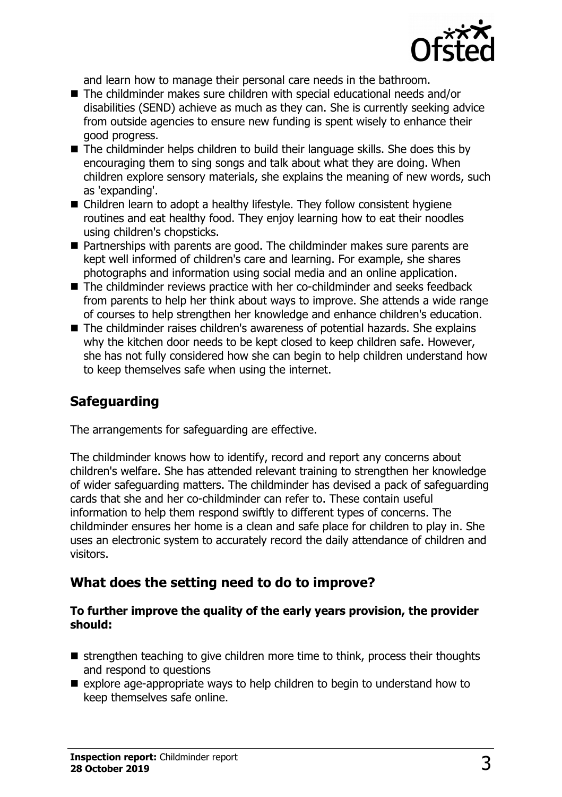

and learn how to manage their personal care needs in the bathroom.

- The childminder makes sure children with special educational needs and/or disabilities (SEND) achieve as much as they can. She is currently seeking advice from outside agencies to ensure new funding is spent wisely to enhance their good progress.
- The childminder helps children to build their language skills. She does this by encouraging them to sing songs and talk about what they are doing. When children explore sensory materials, she explains the meaning of new words, such as 'expanding'.
- Children learn to adopt a healthy lifestyle. They follow consistent hygiene routines and eat healthy food. They enjoy learning how to eat their noodles using children's chopsticks.
- Partnerships with parents are good. The childminder makes sure parents are kept well informed of children's care and learning. For example, she shares photographs and information using social media and an online application.
- The childminder reviews practice with her co-childminder and seeks feedback from parents to help her think about ways to improve. She attends a wide range of courses to help strengthen her knowledge and enhance children's education.
- $\blacksquare$  The childminder raises children's awareness of potential hazards. She explains why the kitchen door needs to be kept closed to keep children safe. However, she has not fully considered how she can begin to help children understand how to keep themselves safe when using the internet.

# **Safeguarding**

The arrangements for safeguarding are effective.

The childminder knows how to identify, record and report any concerns about children's welfare. She has attended relevant training to strengthen her knowledge of wider safeguarding matters. The childminder has devised a pack of safeguarding cards that she and her co-childminder can refer to. These contain useful information to help them respond swiftly to different types of concerns. The childminder ensures her home is a clean and safe place for children to play in. She uses an electronic system to accurately record the daily attendance of children and visitors.

## **What does the setting need to do to improve?**

#### **To further improve the quality of the early years provision, the provider should:**

- $\blacksquare$  strengthen teaching to give children more time to think, process their thoughts and respond to questions
- $\blacksquare$  explore age-appropriate ways to help children to begin to understand how to keep themselves safe online.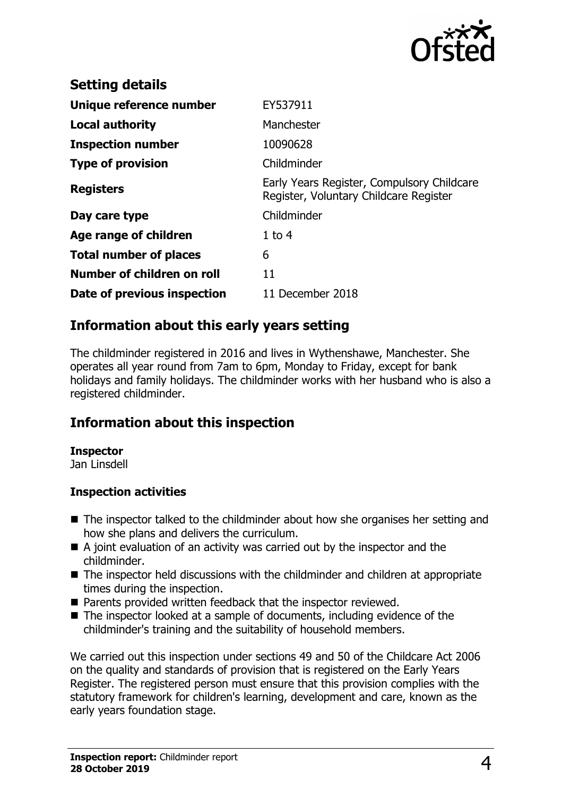

| <b>Setting details</b>        |                                                                                      |
|-------------------------------|--------------------------------------------------------------------------------------|
| Unique reference number       | EY537911                                                                             |
| <b>Local authority</b>        | Manchester                                                                           |
| <b>Inspection number</b>      | 10090628                                                                             |
| <b>Type of provision</b>      | Childminder                                                                          |
| <b>Registers</b>              | Early Years Register, Compulsory Childcare<br>Register, Voluntary Childcare Register |
| Day care type                 | Childminder                                                                          |
| Age range of children         | $1$ to $4$                                                                           |
| <b>Total number of places</b> | 6                                                                                    |
| Number of children on roll    | 11                                                                                   |
| Date of previous inspection   | 11 December 2018                                                                     |

## **Information about this early years setting**

The childminder registered in 2016 and lives in Wythenshawe, Manchester. She operates all year round from 7am to 6pm, Monday to Friday, except for bank holidays and family holidays. The childminder works with her husband who is also a registered childminder.

## **Information about this inspection**

#### **Inspector**

Jan Linsdell

#### **Inspection activities**

- $\blacksquare$  The inspector talked to the childminder about how she organises her setting and how she plans and delivers the curriculum.
- $\blacksquare$  A joint evaluation of an activity was carried out by the inspector and the childminder.
- $\blacksquare$  The inspector held discussions with the childminder and children at appropriate times during the inspection.
- Parents provided written feedback that the inspector reviewed.
- $\blacksquare$  The inspector looked at a sample of documents, including evidence of the childminder's training and the suitability of household members.

We carried out this inspection under sections 49 and 50 of the Childcare Act 2006 on the quality and standards of provision that is registered on the Early Years Register. The registered person must ensure that this provision complies with the statutory framework for children's learning, development and care, known as the early years foundation stage.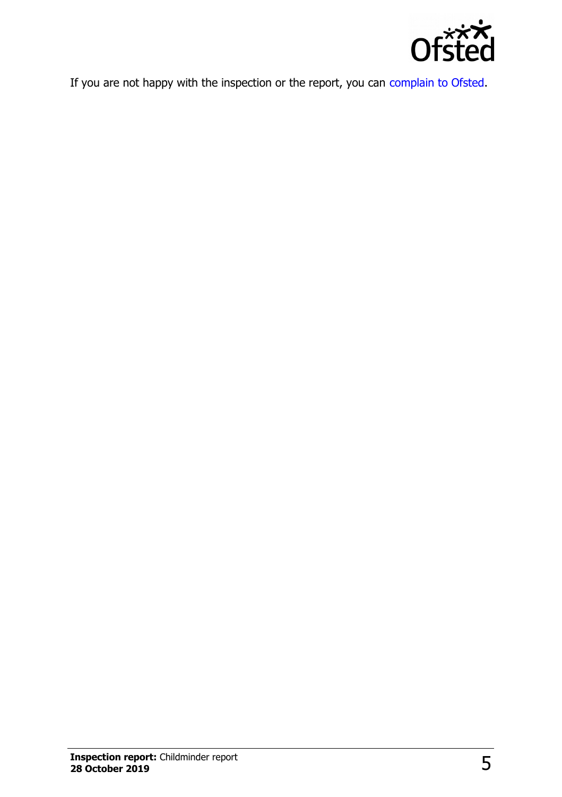

If you are not happy with the inspection or the report, you can [complain to Ofsted.](http://www.gov.uk/complain-ofsted-report)